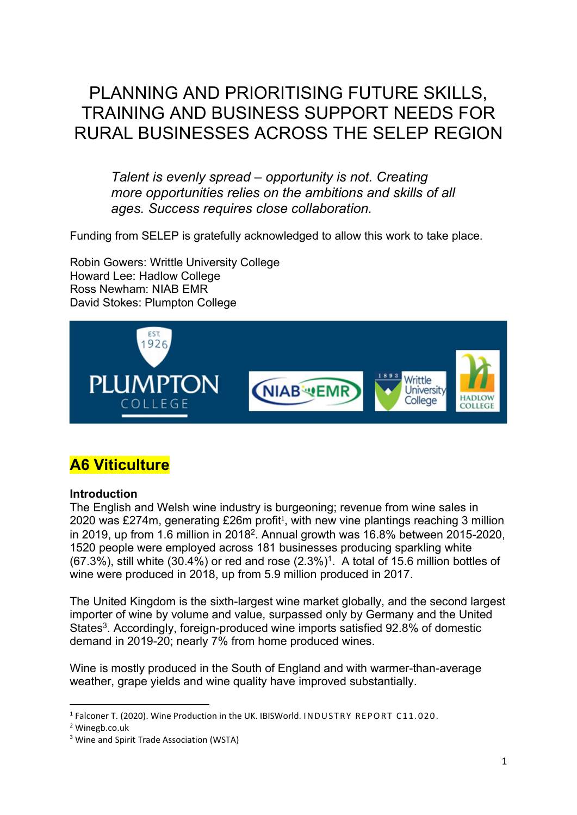# PLANNING AND PRIORITISING FUTURE SKILLS, TRAINING AND BUSINESS SUPPORT NEEDS FOR RURAL BUSINESSES ACROSS THE SELEP REGION

Talent is evenly spread – opportunity is not. Creating more opportunities relies on the ambitions and skills of all ages. Success requires close collaboration.

Funding from SELEP is gratefully acknowledged to allow this work to take place.

Robin Gowers: Writtle University College Howard Lee: Hadlow College Ross Newham: NIAB EMR David Stokes: Plumpton College



## A6 Viticulture

#### **Introduction**

The English and Welsh wine industry is burgeoning; revenue from wine sales in 2020 was £274m, generating  $£26m$  profit<sup>1</sup>, with new vine plantings reaching 3 million in 2019, up from 1.6 million in 2018<sup>2</sup>. Annual growth was 16.8% between 2015-2020, 1520 people were employed across 181 businesses producing sparkling white  $(67.3%)$ , still white  $(30.4%)$  or red and rose  $(2.3%)<sup>1</sup>$ . A total of 15.6 million bottles of wine were produced in 2018, up from 5.9 million produced in 2017.

The United Kingdom is the sixth-largest wine market globally, and the second largest importer of wine by volume and value, surpassed only by Germany and the United States<sup>3</sup>. Accordingly, foreign-produced wine imports satisfied 92.8% of domestic demand in 2019-20; nearly 7% from home produced wines.

Wine is mostly produced in the South of England and with warmer-than-average weather, grape yields and wine quality have improved substantially.

<sup>&</sup>lt;sup>1</sup> Falconer T. (2020). Wine Production in the UK. IBISWorld. INDUSTRY REPORT C11.020.

<sup>2</sup> Winegb.co.uk

<sup>&</sup>lt;sup>3</sup> Wine and Spirit Trade Association (WSTA)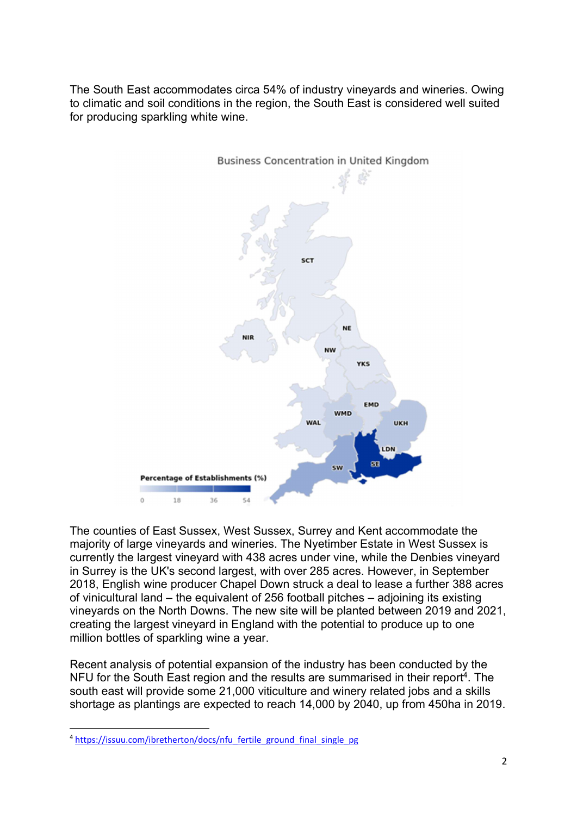The South East accommodates circa 54% of industry vineyards and wineries. Owing to climatic and soil conditions in the region, the South East is considered well suited for producing sparkling white wine.



The counties of East Sussex, West Sussex, Surrey and Kent accommodate the majority of large vineyards and wineries. The Nyetimber Estate in West Sussex is currently the largest vineyard with 438 acres under vine, while the Denbies vineyard in Surrey is the UK's second largest, with over 285 acres. However, in September 2018, English wine producer Chapel Down struck a deal to lease a further 388 acres of vinicultural land – the equivalent of 256 football pitches – adjoining its existing vineyards on the North Downs. The new site will be planted between 2019 and 2021, creating the largest vineyard in England with the potential to produce up to one million bottles of sparkling wine a year.

Recent analysis of potential expansion of the industry has been conducted by the NFU for the South East region and the results are summarised in their report<sup>4</sup>. The south east will provide some 21,000 viticulture and winery related jobs and a skills shortage as plantings are expected to reach 14,000 by 2040, up from 450ha in 2019.

<sup>&</sup>lt;sup>4</sup> https://issuu.com/ibretherton/docs/nfu\_fertile\_ground\_final\_single\_pg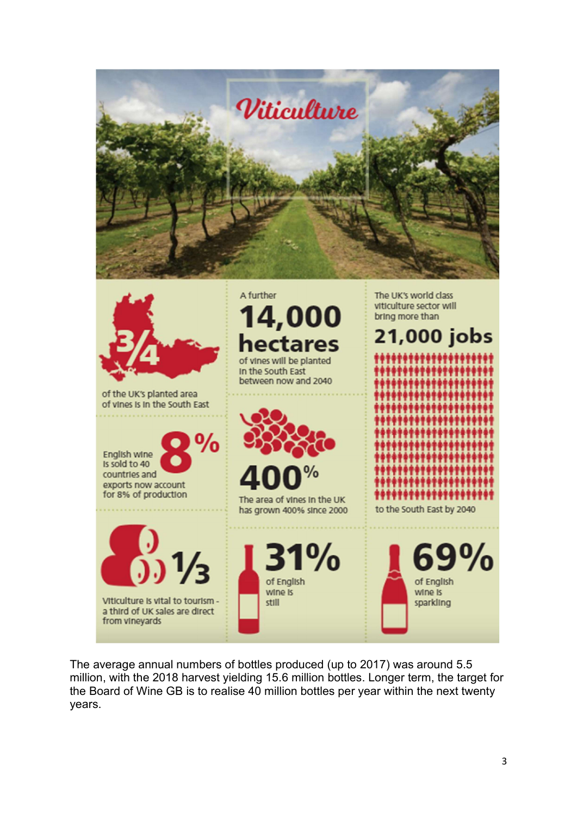



The average annual numbers of bottles produced (up to 2017) was around 5.5 million, with the 2018 harvest yielding 15.6 million bottles. Longer term, the target for the Board of Wine GB is to realise 40 million bottles per year within the next twenty years.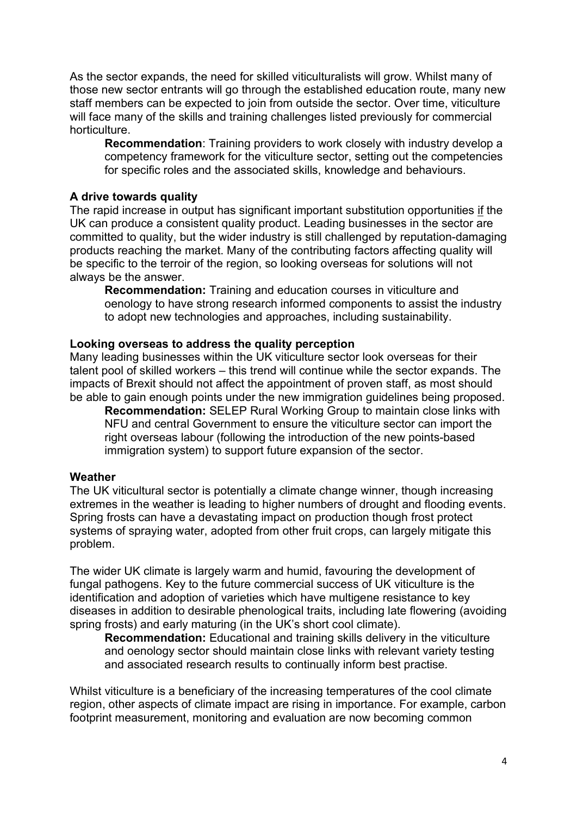As the sector expands, the need for skilled viticulturalists will grow. Whilst many of those new sector entrants will go through the established education route, many new staff members can be expected to join from outside the sector. Over time, viticulture will face many of the skills and training challenges listed previously for commercial horticulture.

Recommendation: Training providers to work closely with industry develop a competency framework for the viticulture sector, setting out the competencies for specific roles and the associated skills, knowledge and behaviours.

#### A drive towards quality

The rapid increase in output has significant important substitution opportunities if the UK can produce a consistent quality product. Leading businesses in the sector are committed to quality, but the wider industry is still challenged by reputation-damaging products reaching the market. Many of the contributing factors affecting quality will be specific to the terroir of the region, so looking overseas for solutions will not always be the answer.

Recommendation: Training and education courses in viticulture and oenology to have strong research informed components to assist the industry to adopt new technologies and approaches, including sustainability.

#### Looking overseas to address the quality perception

Many leading businesses within the UK viticulture sector look overseas for their talent pool of skilled workers – this trend will continue while the sector expands. The impacts of Brexit should not affect the appointment of proven staff, as most should be able to gain enough points under the new immigration guidelines being proposed.

Recommendation: SELEP Rural Working Group to maintain close links with NFU and central Government to ensure the viticulture sector can import the right overseas labour (following the introduction of the new points-based immigration system) to support future expansion of the sector.

#### **Weather**

The UK viticultural sector is potentially a climate change winner, though increasing extremes in the weather is leading to higher numbers of drought and flooding events. Spring frosts can have a devastating impact on production though frost protect systems of spraying water, adopted from other fruit crops, can largely mitigate this problem.

The wider UK climate is largely warm and humid, favouring the development of fungal pathogens. Key to the future commercial success of UK viticulture is the identification and adoption of varieties which have multigene resistance to key diseases in addition to desirable phenological traits, including late flowering (avoiding spring frosts) and early maturing (in the UK's short cool climate).

Recommendation: Educational and training skills delivery in the viticulture and oenology sector should maintain close links with relevant variety testing and associated research results to continually inform best practise.

Whilst viticulture is a beneficiary of the increasing temperatures of the cool climate region, other aspects of climate impact are rising in importance. For example, carbon footprint measurement, monitoring and evaluation are now becoming common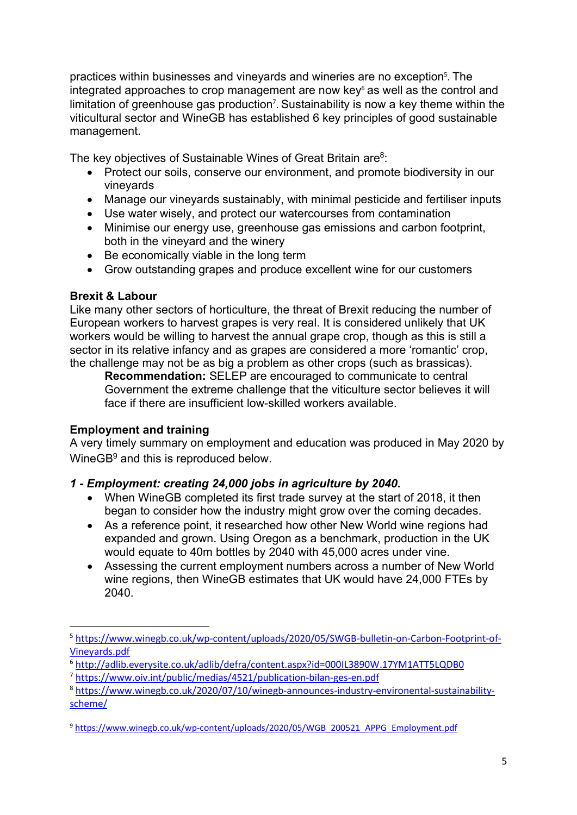practices within businesses and vineyards and wineries are no exception<sup>5</sup>. The integrated approaches to crop management are now  $key<sup>6</sup>$  as well as the control and limitation of greenhouse gas production<sup>7</sup>. Sustainability is now a key theme within the viticultural sector and WineGB has established 6 key principles of good sustainable management.

The key objectives of Sustainable Wines of Great Britain are<sup>8</sup>:

- Protect our soils, conserve our environment, and promote biodiversity in our vineyards
- Manage our vineyards sustainably, with minimal pesticide and fertiliser inputs
- Use water wisely, and protect our watercourses from contamination
- Minimise our energy use, greenhouse gas emissions and carbon footprint, both in the vineyard and the winery
- Be economically viable in the long term
- Grow outstanding grapes and produce excellent wine for our customers

#### Brexit & Labour

Like many other sectors of horticulture, the threat of Brexit reducing the number of European workers to harvest grapes is very real. It is considered unlikely that UK workers would be willing to harvest the annual grape crop, though as this is still a sector in its relative infancy and as grapes are considered a more 'romantic' crop, the challenge may not be as big a problem as other crops (such as brassicas).

Recommendation: SELEP are encouraged to communicate to central Government the extreme challenge that the viticulture sector believes it will face if there are insufficient low-skilled workers available.

## Employment and training

A very timely summary on employment and education was produced in May 2020 by WineGB<sup>9</sup> and this is reproduced below.

## 1 - Employment: creating 24,000 jobs in agriculture by 2040.

- When WineGB completed its first trade survey at the start of 2018, it then began to consider how the industry might grow over the coming decades.
- As a reference point, it researched how other New World wine regions had expanded and grown. Using Oregon as a benchmark, production in the UK would equate to 40m bottles by 2040 with 45,000 acres under vine.
- Assessing the current employment numbers across a number of New World wine regions, then WineGB estimates that UK would have 24,000 FTEs by 2040.

<sup>5</sup> https://www.winegb.co.uk/wp-content/uploads/2020/05/SWGB-bulletin-on-Carbon-Footprint-of-Vineyards.pdf

<sup>6</sup> http://adlib.everysite.co.uk/adlib/defra/content.aspx?id=000IL3890W.17YM1ATT5LQDB0

<sup>7</sup> https://www.oiv.int/public/medias/4521/publication-bilan-ges-en.pdf

<sup>8</sup> https://www.winegb.co.uk/2020/07/10/winegb-announces-industry-environental-sustainabilityscheme/

<sup>9</sup> https://www.winegb.co.uk/wp-content/uploads/2020/05/WGB\_200521\_APPG\_Employment.pdf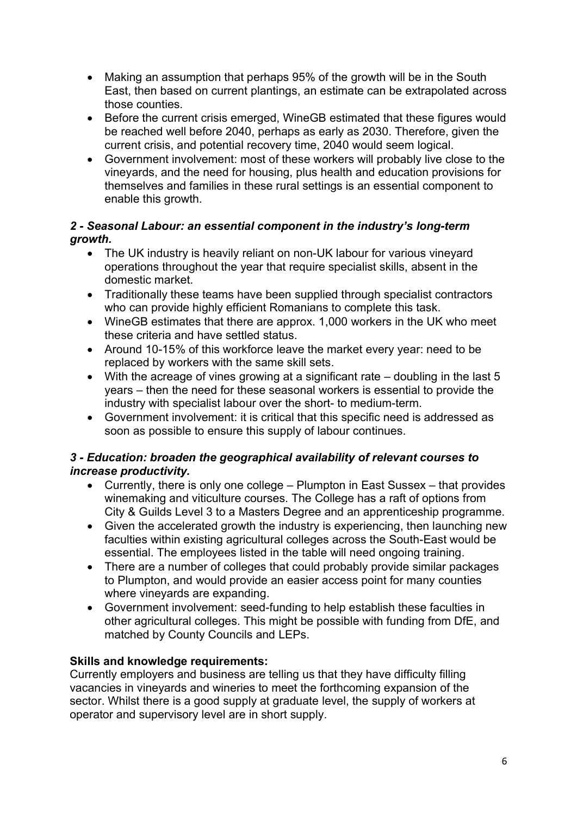- Making an assumption that perhaps 95% of the growth will be in the South East, then based on current plantings, an estimate can be extrapolated across those counties.
- Before the current crisis emerged, WineGB estimated that these figures would be reached well before 2040, perhaps as early as 2030. Therefore, given the current crisis, and potential recovery time, 2040 would seem logical.
- Government involvement: most of these workers will probably live close to the vineyards, and the need for housing, plus health and education provisions for themselves and families in these rural settings is an essential component to enable this growth.

## 2 - Seasonal Labour: an essential component in the industry's long-term growth.

- The UK industry is heavily reliant on non-UK labour for various vineyard operations throughout the year that require specialist skills, absent in the domestic market.
- Traditionally these teams have been supplied through specialist contractors who can provide highly efficient Romanians to complete this task.
- WineGB estimates that there are approx. 1,000 workers in the UK who meet these criteria and have settled status.
- Around 10-15% of this workforce leave the market every year: need to be replaced by workers with the same skill sets.
- With the acreage of vines growing at a significant rate doubling in the last 5 years – then the need for these seasonal workers is essential to provide the industry with specialist labour over the short- to medium-term.
- Government involvement: it is critical that this specific need is addressed as soon as possible to ensure this supply of labour continues.

## 3 - Education: broaden the geographical availability of relevant courses to increase productivity.

- Currently, there is only one college Plumpton in East Sussex that provides winemaking and viticulture courses. The College has a raft of options from City & Guilds Level 3 to a Masters Degree and an apprenticeship programme.
- Given the accelerated growth the industry is experiencing, then launching new faculties within existing agricultural colleges across the South-East would be essential. The employees listed in the table will need ongoing training.
- There are a number of colleges that could probably provide similar packages to Plumpton, and would provide an easier access point for many counties where vineyards are expanding.
- Government involvement: seed-funding to help establish these faculties in other agricultural colleges. This might be possible with funding from DfE, and matched by County Councils and LEPs.

## Skills and knowledge requirements:

Currently employers and business are telling us that they have difficulty filling vacancies in vineyards and wineries to meet the forthcoming expansion of the sector. Whilst there is a good supply at graduate level, the supply of workers at operator and supervisory level are in short supply.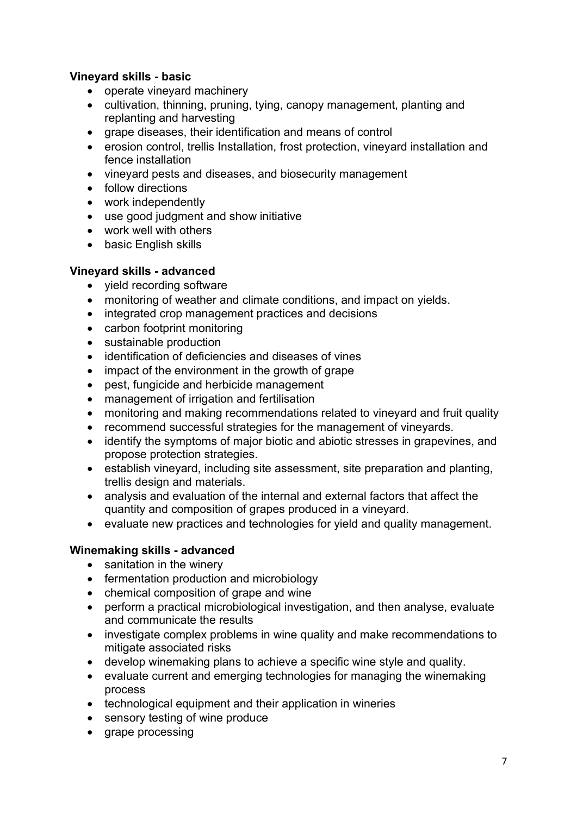## Vineyard skills - basic

- operate vineyard machinery
- cultivation, thinning, pruning, tying, canopy management, planting and replanting and harvesting
- grape diseases, their identification and means of control
- erosion control, trellis Installation, frost protection, vineyard installation and fence installation
- vinevard pests and diseases, and biosecurity management
- follow directions
- work independently
- use good judgment and show initiative
- work well with others
- basic English skills

## Vineyard skills - advanced

- yield recording software
- monitoring of weather and climate conditions, and impact on yields.
- integrated crop management practices and decisions
- carbon footprint monitoring
- sustainable production
- identification of deficiencies and diseases of vines
- impact of the environment in the growth of grape
- pest, fungicide and herbicide management
- management of irrigation and fertilisation
- monitoring and making recommendations related to vineyard and fruit quality
- recommend successful strategies for the management of vineyards.
- identify the symptoms of major biotic and abiotic stresses in grapevines, and propose protection strategies.
- establish vineyard, including site assessment, site preparation and planting, trellis design and materials.
- analysis and evaluation of the internal and external factors that affect the quantity and composition of grapes produced in a vineyard.
- evaluate new practices and technologies for yield and quality management.

## Winemaking skills - advanced

- sanitation in the winery
- fermentation production and microbiology
- chemical composition of grape and wine
- perform a practical microbiological investigation, and then analyse, evaluate and communicate the results
- investigate complex problems in wine quality and make recommendations to mitigate associated risks
- develop winemaking plans to achieve a specific wine style and quality.
- evaluate current and emerging technologies for managing the winemaking process
- technological equipment and their application in wineries
- sensory testing of wine produce
- grape processing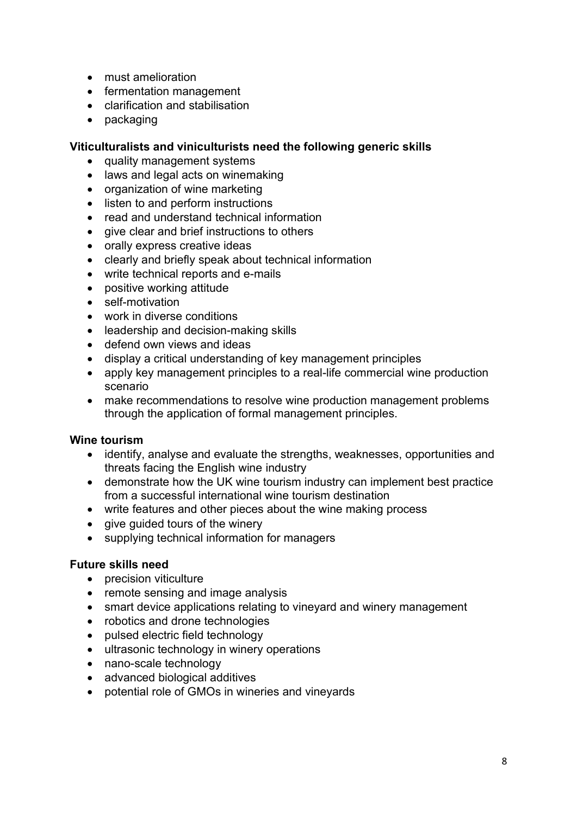- must amelioration
- fermentation management
- clarification and stabilisation
- packaging

#### Viticulturalists and viniculturists need the following generic skills

- quality management systems
- laws and legal acts on winemaking
- organization of wine marketing
- listen to and perform instructions
- read and understand technical information
- give clear and brief instructions to others
- orally express creative ideas
- clearly and briefly speak about technical information
- write technical reports and e-mails
- positive working attitude
- self-motivation
- work in diverse conditions
- leadership and decision-making skills
- defend own views and ideas
- display a critical understanding of key management principles
- apply key management principles to a real-life commercial wine production scenario
- make recommendations to resolve wine production management problems through the application of formal management principles.

#### Wine tourism

- identify, analyse and evaluate the strengths, weaknesses, opportunities and threats facing the English wine industry
- demonstrate how the UK wine tourism industry can implement best practice from a successful international wine tourism destination
- write features and other pieces about the wine making process
- give guided tours of the winery
- supplying technical information for managers

#### Future skills need

- precision viticulture
- remote sensing and image analysis
- smart device applications relating to vineyard and winery management
- robotics and drone technologies
- pulsed electric field technology
- ultrasonic technology in winery operations
- nano-scale technology
- advanced biological additives
- potential role of GMOs in wineries and vineyards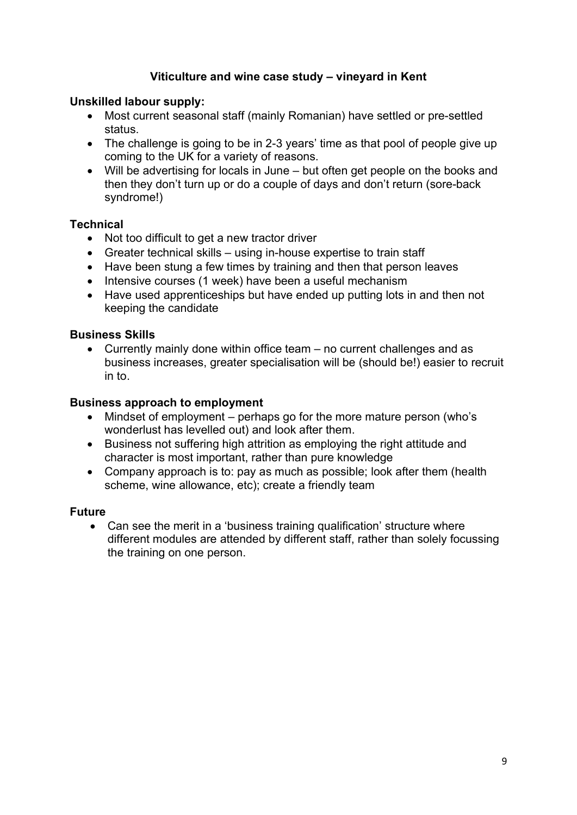## Viticulture and wine case study – vineyard in Kent

#### Unskilled labour supply:

- Most current seasonal staff (mainly Romanian) have settled or pre-settled status.
- The challenge is going to be in 2-3 years' time as that pool of people give up coming to the UK for a variety of reasons.
- Will be advertising for locals in June but often get people on the books and then they don't turn up or do a couple of days and don't return (sore-back syndrome!)

#### **Technical**

- Not too difficult to get a new tractor driver
- Greater technical skills using in-house expertise to train staff
- Have been stung a few times by training and then that person leaves
- Intensive courses (1 week) have been a useful mechanism
- Have used apprenticeships but have ended up putting lots in and then not keeping the candidate

#### Business Skills

 Currently mainly done within office team – no current challenges and as business increases, greater specialisation will be (should be!) easier to recruit in to.

#### Business approach to employment

- Mindset of employment perhaps go for the more mature person (who's wonderlust has levelled out) and look after them.
- Business not suffering high attrition as employing the right attitude and character is most important, rather than pure knowledge
- Company approach is to: pay as much as possible: look after them (health scheme, wine allowance, etc); create a friendly team

#### Future

• Can see the merit in a 'business training qualification' structure where different modules are attended by different staff, rather than solely focussing the training on one person.